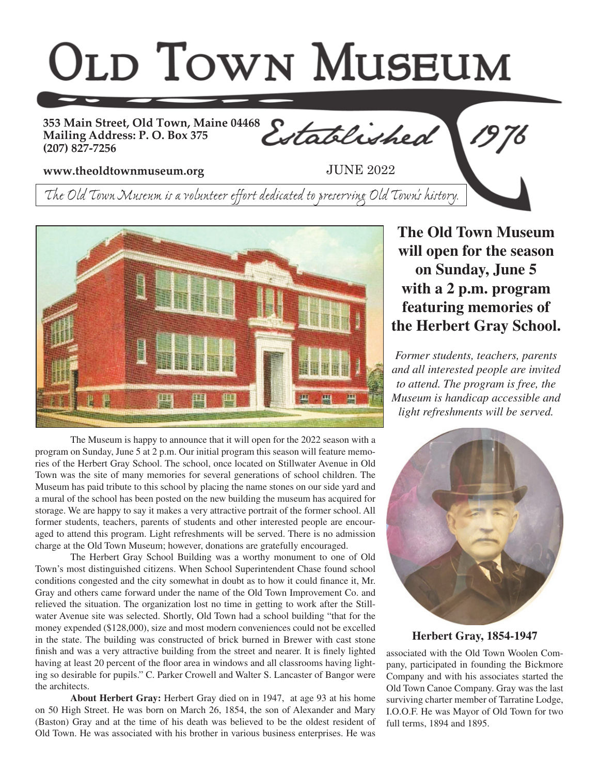## **OLD TOWN MUSEUM**

**353 Main Street, Old Town, Maine 04468 Mailing Address: P. O. Box 375 (207) 827-7256**

Established

**www.theoldtownmuseum.org**

JUNE 2022

*The Old Town Museum is a volunteer effort dedicated to preserving Old Town's history.*



The Museum is happy to announce that it will open for the 2022 season with a program on Sunday, June 5 at 2 p.m. Our initial program this season will feature memories of the Herbert Gray School. The school, once located on Stillwater Avenue in Old Town was the site of many memories for several generations of school children. The Museum has paid tribute to this school by placing the name stones on our side yard and a mural of the school has been posted on the new building the museum has acquired for storage. We are happy to say it makes a very attractive portrait of the former school. All former students, teachers, parents of students and other interested people are encouraged to attend this program. Light refreshments will be served. There is no admission charge at the Old Town Museum; however, donations are gratefully encouraged.

The Herbert Gray School Building was a worthy monument to one of Old Town's most distinguished citizens. When School Superintendent Chase found school conditions congested and the city somewhat in doubt as to how it could finance it, Mr. Gray and others came forward under the name of the Old Town Improvement Co. and relieved the situation. The organization lost no time in getting to work after the Stillwater Avenue site was selected. Shortly, Old Town had a school building "that for the money expended (\$128,000), size and most modern conveniences could not be excelled in the state. The building was constructed of brick burned in Brewer with cast stone finish and was a very attractive building from the street and nearer. It is finely lighted having at least 20 percent of the floor area in windows and all classrooms having lighting so desirable for pupils." C. Parker Crowell and Walter S. Lancaster of Bangor were the architects.

**About Herbert Gray:** Herbert Gray died on in 1947, at age 93 at his home on 50 High Street. He was born on March 26, 1854, the son of Alexander and Mary (Baston) Gray and at the time of his death was believed to be the oldest resident of Old Town. He was associated with his brother in various business enterprises. He was

**The Old Town Museum will open for the season on Sunday, June 5 with a 2 p.m. program featuring memories of the Herbert Gray School.**

*Former students, teachers, parents and all interested people are invited to attend. The program is free, the Museum is handicap accessible and light refreshments will be served.*



## **Herbert Gray, 1854-1947**

associated with the Old Town Woolen Company, participated in founding the Bickmore Company and with his associates started the Old Town Canoe Company. Gray was the last surviving charter member of Tarratine Lodge, I.O.O.F. He was Mayor of Old Town for two full terms, 1894 and 1895.